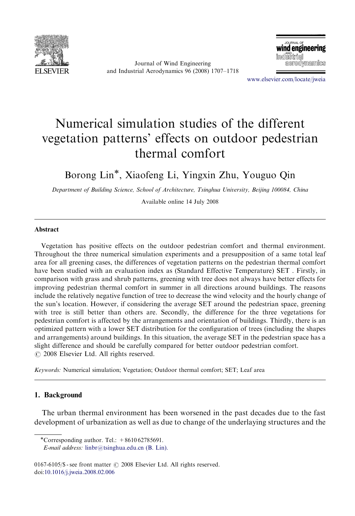

Journal of Wind Engineering and Industrial Aerodynamics 96 (2008) 1707–1718

URNAL OI wind engineering imdiüstrial aerodynamics

<www.elsevier.com/locate/jweia>

# Numerical simulation studies of the different vegetation patterns' effects on outdoor pedestrian thermal comfort

Borong Lin-, Xiaofeng Li, Yingxin Zhu, Youguo Qin

Department of Building Science, School of Architecture, Tsinghua University, Beijing 100084, China

Available online 14 July 2008

#### Abstract

Vegetation has positive effects on the outdoor pedestrian comfort and thermal environment. Throughout the three numerical simulation experiments and a presupposition of a same total leaf area for all greening cases, the differences of vegetation patterns on the pedestrian thermal comfort have been studied with an evaluation index as (Standard Effective Temperature) SET . Firstly, in comparison with grass and shrub patterns, greening with tree does not always have better effects for improving pedestrian thermal comfort in summer in all directions around buildings. The reasons include the relatively negative function of tree to decrease the wind velocity and the hourly change of the sun's location. However, if considering the average SET around the pedestrian space, greening with tree is still better than others are. Secondly, the difference for the three vegetations for pedestrian comfort is affected by the arrangements and orientation of buildings. Thirdly, there is an optimized pattern with a lower SET distribution for the configuration of trees (including the shapes and arrangements) around buildings. In this situation, the average SET in the pedestrian space has a slight difference and should be carefully compared for better outdoor pedestrian comfort.  $\odot$  2008 Elsevier Ltd. All rights reserved.

Keywords: Numerical simulation; Vegetation; Outdoor thermal comfort; SET; Leaf area

#### 1. Background

The urban thermal environment has been worsened in the past decades due to the fast development of urbanization as well as due to change of the underlaying structures and the

E-mail address: [linbr@tsinghua.edu.cn \(B. Lin\).](mailto:linbr@tsinghua.edu.cn)

0167-6105/\$ - see front matter  $\odot$  2008 Elsevier Ltd. All rights reserved. doi[:10.1016/j.jweia.2008.02.006](dx.doi.org/10.1016/j.jweia.2008.02.006)

<sup>-</sup>Corresponding author. Tel.: +8610 62785691.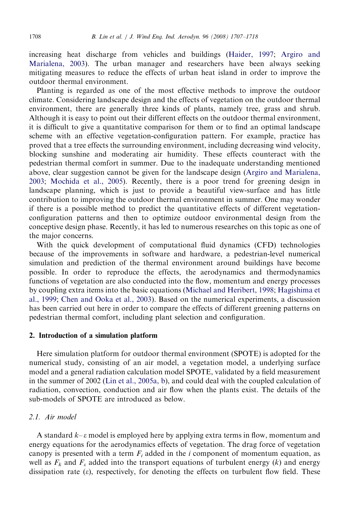increasing heat discharge from vehicles and buildings [\(Haider, 1997;](#page--1-0) [Argiro and](#page--1-0) [Marialena, 2003\)](#page--1-0). The urban manager and researchers have been always seeking mitigating measures to reduce the effects of urban heat island in order to improve the outdoor thermal environment.

Planting is regarded as one of the most effective methods to improve the outdoor climate. Considering landscape design and the effects of vegetation on the outdoor thermal environment, there are generally three kinds of plants, namely tree, grass and shrub. Although it is easy to point out their different effects on the outdoor thermal environment, it is difficult to give a quantitative comparison for them or to find an optimal landscape scheme with an effective vegetation-configuration pattern. For example, practice has proved that a tree effects the surrounding environment, including decreasing wind velocity, blocking sunshine and moderating air humidity. These effects counteract with the pedestrian thermal comfort in summer. Due to the inadequate understanding mentioned above, clear suggestion cannot be given for the landscape design [\(Argiro and Marialena,](#page--1-0) [2003](#page--1-0); [Mochida et al., 2005\)](#page--1-0). Recently, there is a poor trend for greening design in landscape planning, which is just to provide a beautiful view-surface and has little contribution to improving the outdoor thermal environment in summer. One may wonder if there is a possible method to predict the quantitative effects of different vegetationconfiguration patterns and then to optimize outdoor environmental design from the conceptive design phase. Recently, it has led to numerous researches on this topic as one of the major concerns.

With the quick development of computational fluid dynamics (CFD) technologies because of the improvements in software and hardware, a pedestrian-level numerical simulation and prediction of the thermal environment around buildings have become possible. In order to reproduce the effects, the aerodynamics and thermodynamics functions of vegetation are also conducted into the flow, momentum and energy processes by coupling extra items into the basic equations ([Michael and Heribert, 1998](#page--1-0); [Hagishima et](#page--1-0) [al., 1999;](#page--1-0) [Chen and Ooka et al., 2003\)](#page--1-0). Based on the numerical experiments, a discussion has been carried out here in order to compare the effects of different greening patterns on pedestrian thermal comfort, including plant selection and configuration.

## 2. Introduction of a simulation platform

Here simulation platform for outdoor thermal environment (SPOTE) is adopted for the numerical study, consisting of an air model, a vegetation model, a underlying surface model and a general radiation calculation model SPOTE, validated by a field measurement in the summer of 2002 ([Lin et al., 2005a, b\)](#page--1-0), and could deal with the coupled calculation of radiation, convection, conduction and air flow when the plants exist. The details of the sub-models of SPOTE are introduced as below.

## 2.1. Air model

A standard  $k-\varepsilon$  model is employed here by applying extra terms in flow, momentum and energy equations for the aerodynamics effects of vegetation. The drag force of vegetation canopy is presented with a term  $F_i$  added in the i component of momentum equation, as well as  $F_k$  and  $F_k$  added into the transport equations of turbulent energy (k) and energy dissipation rate  $(\varepsilon)$ , respectively, for denoting the effects on turbulent flow field. These